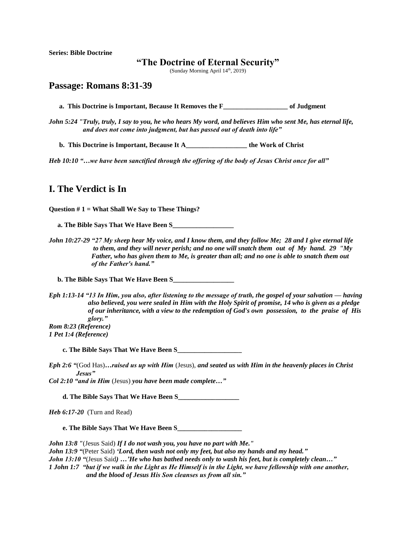**Series: Bible Doctrine**

## **"The Doctrine of Eternal Security"**

(Sunday Morning April 14<sup>th</sup>, 2019)

## **Passage: Romans 8:31-39**

 **a. This Doctrine is Important, Because It Removes the F\_\_\_\_\_\_\_\_\_\_\_\_\_\_\_\_\_\_\_ of Judgment**

*John 5:24 "Truly, truly, I say to you, he who hears My word, and believes Him who sent Me, has eternal life, and does not come into judgment, but has passed out of death into life"*

**b. This Doctrine is Important, Because It A\_\_\_\_\_\_\_\_\_\_\_\_\_\_\_\_\_\_ the Work of Christ**

*Heb 10:10 "…we have been sanctified through the offering of the body of Jesus Christ once for all"* 

## **I. The Verdict is In**

**Question # 1 = What Shall We Say to These Things?**

 **a. The Bible Says That We Have Been S\_\_\_\_\_\_\_\_\_\_\_\_\_\_\_\_\_\_**

*John 10:27-29 "27 My sheep hear My voice, and I know them, and they follow Me; 28 and I give eternal life to them, and they will never perish; and no one will snatch them out of My hand. 29 "My Father, who has given them to Me, is greater than all; and no one is able to snatch them out of the Father's hand."*

 **b. The Bible Says That We Have Been S\_\_\_\_\_\_\_\_\_\_\_\_\_\_\_\_\_\_**

*Eph 1:13-14 "13 In Him, you also, after listening to the message of truth, the gospel of your salvation — having also believed, you were sealed in Him with the Holy Spirit of promise, 14 who is given as a pledge of our inheritance, with a view to the redemption of God's own possession, to the praise of His glory." Rom 8:23 (Reference)*

*1 Pet 1:4 (Reference)*

 **c. The Bible Says That We Have Been S\_\_\_\_\_\_\_\_\_\_\_\_\_\_\_\_\_\_\_**

*Eph 2:6 "*(God Has)*…raised us up with Him* (Jesus), *and seated us with Him in the heavenly places in Christ Jesus"*

*Col 2:10 "and in Him* (Jesus) *you have been made complete…"*

 **d. The Bible Says That We Have Been S\_\_\_\_\_\_\_\_\_\_\_\_\_\_\_\_\_\_**

*Heb 6:17-20* (Turn and Read)

 **e. The Bible Says That We Have Been S\_\_\_\_\_\_\_\_\_\_\_\_\_\_\_\_\_\_\_**

*John 13:8 "*(Jesus Said) *If I do not wash you, you have no part with Me."*

*John 13:9 "*(Peter Said) *'Lord, then wash not only my feet, but also my hands and my head."*

*John 13:10 "*(Jesus Said*) …'He who has bathed needs only to wash his feet, but is completely clean…"*

*1 John 1:7**"but if we walk in the Light as He Himself is in the Light, we have fellowship with one another, and the blood of Jesus His Son cleanses us from all sin."*